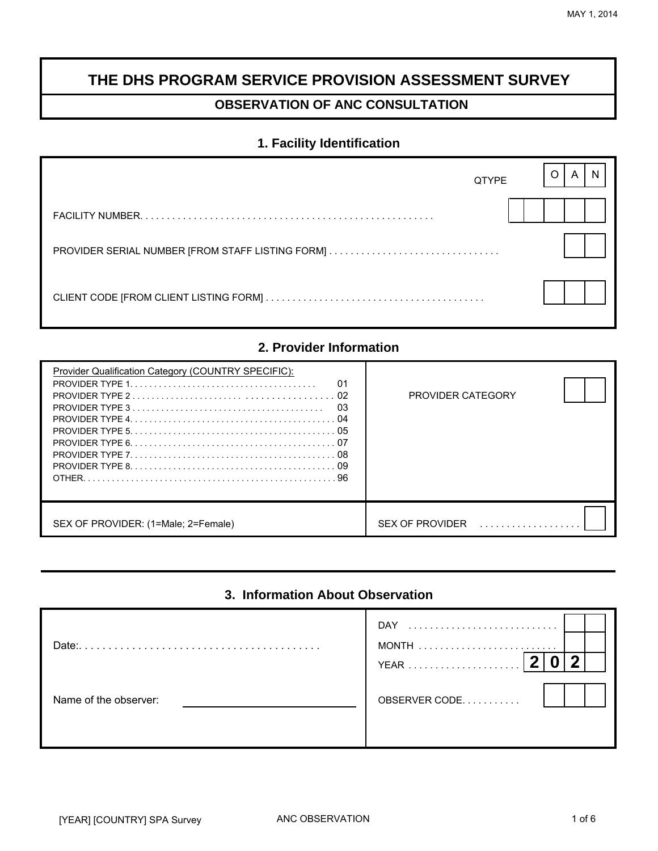# **THE DHS PROGRAM SERVICE PROVISION ASSESSMENT SURVEY**

# **OBSERVATION OF ANC CONSULTATION**

## **1. Facility Identification**

| <b>QTYPE</b> | A |
|--------------|---|
|              |   |
|              |   |
|              |   |

## **2. Provider Information**

| Provider Qualification Category (COUNTRY SPECIFIC):<br>01<br><b>PROVIDER TYPE 1 <i>PROVIDER TYPE 1</i></b><br>03<br>. 07 | <b>PROVIDER CATEGORY</b> |
|--------------------------------------------------------------------------------------------------------------------------|--------------------------|
| SEX OF PROVIDER: (1=Male; 2=Female)                                                                                      | SEX OF PROVIDER          |

# **3. Information About Observation**

| Date:                 | <b>DAY</b><br>MONTH<br><b>YEAR</b> | n |  |
|-----------------------|------------------------------------|---|--|
| Name of the observer: | OBSERVER CODE                      |   |  |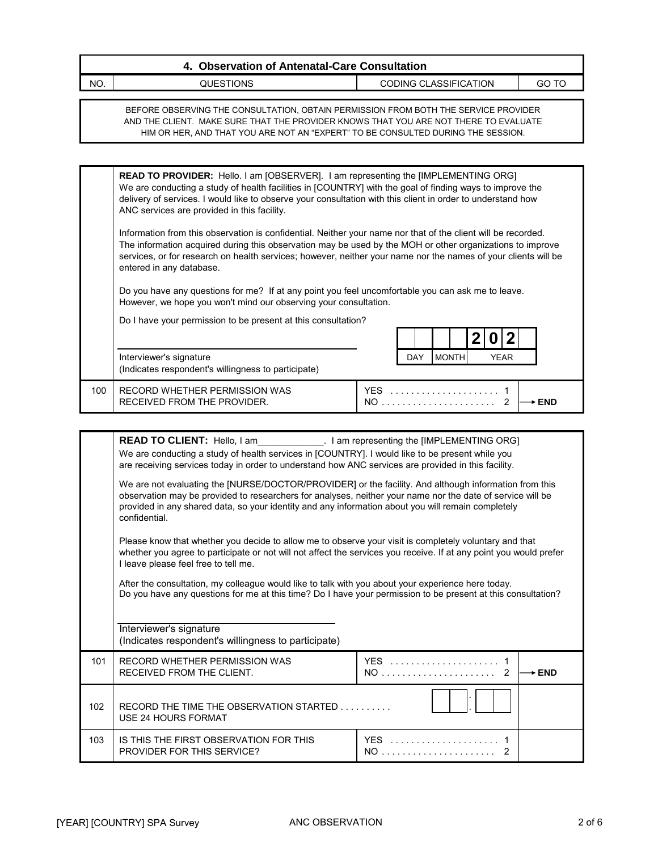|                                                 | 4. Observation of Antenatal-Care Consultation |  |  |  |  |
|-------------------------------------------------|-----------------------------------------------|--|--|--|--|
| NO.<br>CODING CLASSIFICATION<br>QUESTIONS<br>GN |                                               |  |  |  |  |

BEFORE OBSERVING THE CONSULTATION, OBTAIN PERMISSION FROM BOTH THE SERVICE PROVIDER AND THE CLIENT. MAKE SURE THAT THE PROVIDER KNOWS THAT YOU ARE NOT THERE TO EVALUATE HIM OR HER, AND THAT YOU ARE NOT AN "EXPERT" TO BE CONSULTED DURING THE SESSION.

|     | <b>READ TO PROVIDER:</b> Hello. I am [OBSERVER]. I am representing the [IMPLEMENTING ORG]<br>We are conducting a study of health facilities in [COUNTRY] with the goal of finding ways to improve the<br>delivery of services. I would like to observe your consultation with this client in order to understand how<br>ANC services are provided in this facility.      |                                           |  |  |
|-----|--------------------------------------------------------------------------------------------------------------------------------------------------------------------------------------------------------------------------------------------------------------------------------------------------------------------------------------------------------------------------|-------------------------------------------|--|--|
|     | Information from this observation is confidential. Neither your name nor that of the client will be recorded.<br>The information acquired during this observation may be used by the MOH or other organizations to improve<br>services, or for research on health services; however, neither your name nor the names of your clients will be<br>entered in any database. |                                           |  |  |
|     | Do you have any questions for me? If at any point you feel uncomfortable you can ask me to leave.<br>However, we hope you won't mind our observing your consultation.                                                                                                                                                                                                    |                                           |  |  |
|     | Do I have your permission to be present at this consultation?                                                                                                                                                                                                                                                                                                            |                                           |  |  |
|     | Interviewer's signature<br>(Indicates respondent's willingness to participate)                                                                                                                                                                                                                                                                                           | <b>MONTH</b><br><b>DAY</b><br><b>YEAR</b> |  |  |
| 100 | RECORD WHETHER PERMISSION WAS<br>RECEIVED FROM THE PROVIDER.                                                                                                                                                                                                                                                                                                             | <b>YES</b><br>NO.<br>- FND                |  |  |

|     | <b>READ TO CLIENT:</b> Hello, I am ________________. I am representing the [IMPLEMENTING ORG]<br>We are conducting a study of health services in [COUNTRY]. I would like to be present while you<br>are receiving services today in order to understand how ANC services are provided in this facility.                                    |                          |  |  |
|-----|--------------------------------------------------------------------------------------------------------------------------------------------------------------------------------------------------------------------------------------------------------------------------------------------------------------------------------------------|--------------------------|--|--|
|     | We are not evaluating the [NURSE/DOCTOR/PROVIDER] or the facility. And although information from this<br>observation may be provided to researchers for analyses, neither your name nor the date of service will be<br>provided in any shared data, so your identity and any information about you will remain completely<br>confidential. |                          |  |  |
|     | Please know that whether you decide to allow me to observe your visit is completely voluntary and that<br>whether you agree to participate or not will not affect the services you receive. If at any point you would prefer<br>I leave please feel free to tell me.                                                                       |                          |  |  |
|     | After the consultation, my colleague would like to talk with you about your experience here today.<br>Do you have any questions for me at this time? Do I have your permission to be present at this consultation?                                                                                                                         |                          |  |  |
|     | Interviewer's signature<br>(Indicates respondent's willingness to participate)                                                                                                                                                                                                                                                             |                          |  |  |
| 101 | <b>RECORD WHETHER PERMISSION WAS</b><br>RECEIVED FROM THE CLIENT.                                                                                                                                                                                                                                                                          | <b>YES</b><br>2<br>→ END |  |  |
| 102 | RECORD THE TIME THE OBSERVATION STARTED<br>USE 24 HOURS FORMAT                                                                                                                                                                                                                                                                             |                          |  |  |
| 103 | IS THIS THE FIRST OBSERVATION FOR THIS<br>PROVIDER FOR THIS SERVICE?                                                                                                                                                                                                                                                                       | <b>YES</b><br>2          |  |  |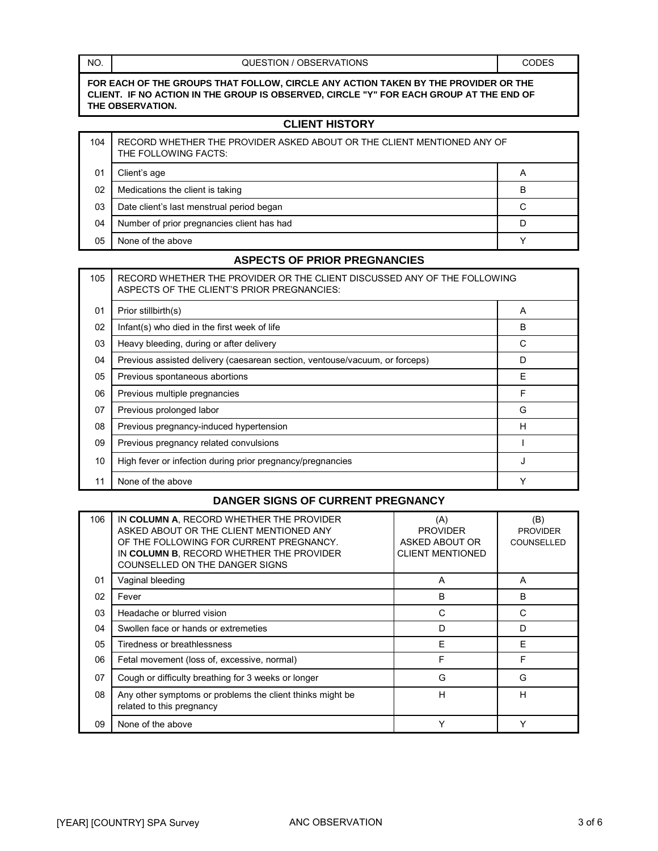NO.

#### QUESTION / OBSERVATIONS **CODES**

**FOR EACH OF THE GROUPS THAT FOLLOW, CIRCLE ANY ACTION TAKEN BY THE PROVIDER OR THE CLIENT. IF NO ACTION IN THE GROUP IS OBSERVED, CIRCLE "Y" FOR EACH GROUP AT THE END OF THE OBSERVATION.**

## **CLIENT HISTORY**

| 104 | RECORD WHETHER THE PROVIDER ASKED ABOUT OR THE CLIENT MENTIONED ANY OF<br>THE FOLLOWING FACTS: |             |  |
|-----|------------------------------------------------------------------------------------------------|-------------|--|
| 01  | Client's age                                                                                   | A           |  |
| 02  | Medications the client is taking                                                               | в           |  |
| 03  | Date client's last menstrual period began                                                      | C           |  |
| 04  | Number of prior pregnancies client has had                                                     | D           |  |
| 05  | None of the above                                                                              | $\check{ }$ |  |

## **ASPECTS OF PRIOR PREGNANCIES**

| 105 | RECORD WHETHER THE PROVIDER OR THE CLIENT DISCUSSED ANY OF THE FOLLOWING<br>ASPECTS OF THE CLIENT'S PRIOR PREGNANCIES: |   |  |
|-----|------------------------------------------------------------------------------------------------------------------------|---|--|
| 01  | Prior stillbirth(s)                                                                                                    | A |  |
| 02  | Infant(s) who died in the first week of life                                                                           | B |  |
| 03  | Heavy bleeding, during or after delivery                                                                               | C |  |
| 04  | Previous assisted delivery (caesarean section, ventouse/vacuum, or forceps)                                            | D |  |
| 05  | Previous spontaneous abortions                                                                                         | E |  |
| 06  | Previous multiple pregnancies                                                                                          | F |  |
| 07  | Previous prolonged labor                                                                                               | G |  |
| 08  | Previous pregnancy-induced hypertension                                                                                | H |  |
| 09  | Previous pregnancy related convulsions                                                                                 |   |  |
| 10  | High fever or infection during prior pregnancy/pregnancies                                                             | J |  |
| 11  | None of the above                                                                                                      | Y |  |

## **DANGER SIGNS OF CURRENT PREGNANCY**

| 106 | IN COLUMN A, RECORD WHETHER THE PROVIDER<br>ASKED ABOUT OR THE CLIENT MENTIONED ANY<br>OF THE FOLLOWING FOR CURRENT PREGNANCY.<br>IN COLUMN B, RECORD WHETHER THE PROVIDER<br>COUNSELLED ON THE DANGER SIGNS | (A)<br><b>PROVIDER</b><br>ASKED ABOUT OR<br><b>CLIENT MENTIONED</b> | (B)<br><b>PROVIDER</b><br><b>COUNSELLED</b> |
|-----|--------------------------------------------------------------------------------------------------------------------------------------------------------------------------------------------------------------|---------------------------------------------------------------------|---------------------------------------------|
| 01  | Vaginal bleeding                                                                                                                                                                                             | A                                                                   | A                                           |
| 02  | B<br>Fever                                                                                                                                                                                                   |                                                                     | B                                           |
| 03  | Headache or blurred vision                                                                                                                                                                                   | C                                                                   | C                                           |
| 04  | Swollen face or hands or extremeties                                                                                                                                                                         | D                                                                   | D                                           |
| 05  | Tiredness or breathlessness                                                                                                                                                                                  | F                                                                   | F                                           |
| 06  | Fetal movement (loss of, excessive, normal)                                                                                                                                                                  | F                                                                   | F                                           |
| 07  | Cough or difficulty breathing for 3 weeks or longer                                                                                                                                                          | G                                                                   | G                                           |
| 08  | Any other symptoms or problems the client thinks might be<br>related to this pregnancy                                                                                                                       | H                                                                   | H                                           |
| 09  | None of the above                                                                                                                                                                                            | Υ                                                                   | ν                                           |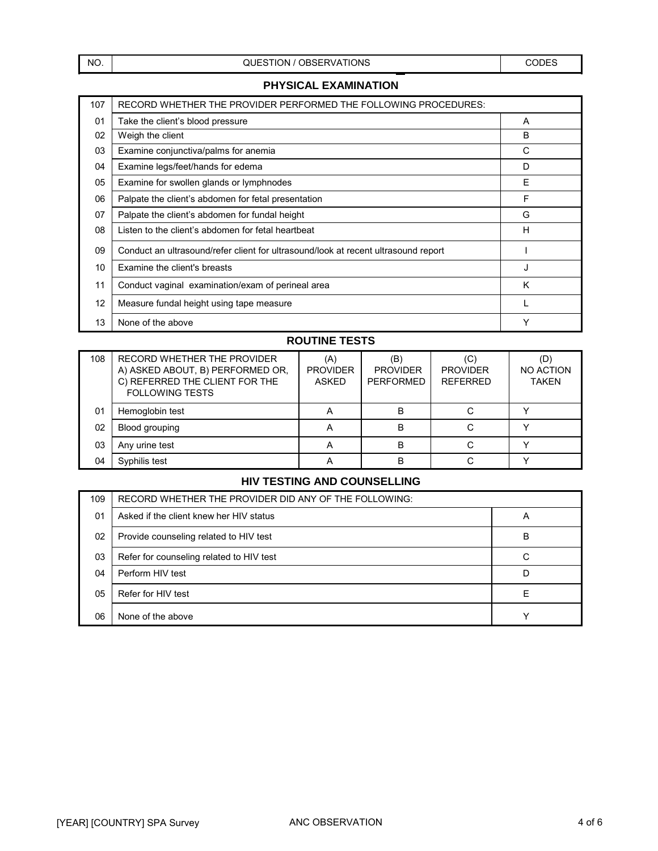## **PHYSICAL EXAMINATION**

| 107 | RECORD WHETHER THE PROVIDER PERFORMED THE FOLLOWING PROCEDURES:                    |   |  |
|-----|------------------------------------------------------------------------------------|---|--|
| 01  | Take the client's blood pressure                                                   | A |  |
| 02  | Weigh the client                                                                   | B |  |
| 03  | Examine conjunctiva/palms for anemia                                               | С |  |
| 04  | Examine legs/feet/hands for edema                                                  | D |  |
| 05  | Examine for swollen glands or lymphnodes                                           | Ε |  |
| 06  | Palpate the client's abdomen for fetal presentation                                | F |  |
| 07  | Palpate the client's abdomen for fundal height                                     | G |  |
| 08  | Listen to the client's abdomen for fetal heartbeat                                 | н |  |
| 09  | Conduct an ultrasound/refer client for ultrasound/look at recent ultrasound report |   |  |
| 10  | Examine the client's breasts                                                       | J |  |
| 11  | Conduct vaginal examination/exam of perineal area                                  | K |  |
| 12  | Measure fundal height using tape measure                                           |   |  |
| 13  | None of the above                                                                  | Υ |  |

## **ROUTINE TESTS**

| 108 | RECORD WHETHER THE PROVIDER<br>A) ASKED ABOUT, B) PERFORMED OR,<br>C) REFERRED THE CLIENT FOR THE<br><b>FOLLOWING TESTS</b> | (A)<br><b>PROVIDER</b><br>ASKED | (B)<br><b>PROVIDER</b><br><b>PERFORMED</b> | (C)<br><b>PROVIDER</b><br><b>REFERRED</b> | (D)<br>NO ACTION<br><b>TAKEN</b> |
|-----|-----------------------------------------------------------------------------------------------------------------------------|---------------------------------|--------------------------------------------|-------------------------------------------|----------------------------------|
| 01  | Hemoglobin test                                                                                                             | A                               | R                                          |                                           |                                  |
| 02  | Blood grouping                                                                                                              |                                 | в                                          |                                           |                                  |
| 03  | Any urine test                                                                                                              | $\mathbf{\mathsf{m}}$           | B                                          |                                           |                                  |
| 04  | Syphilis test                                                                                                               |                                 | R                                          |                                           |                                  |

## **HIV TESTING AND COUNSELLING**

| 109 | RECORD WHETHER THE PROVIDER DID ANY OF THE FOLLOWING: |   |
|-----|-------------------------------------------------------|---|
| 01  | Asked if the client knew her HIV status               | Α |
| 02  | Provide counseling related to HIV test                | В |
| 03  | Refer for counseling related to HIV test              | C |
| 04  | Perform HIV test                                      | D |
| 05  | Refer for HIV test                                    | F |
| 06  | None of the above                                     |   |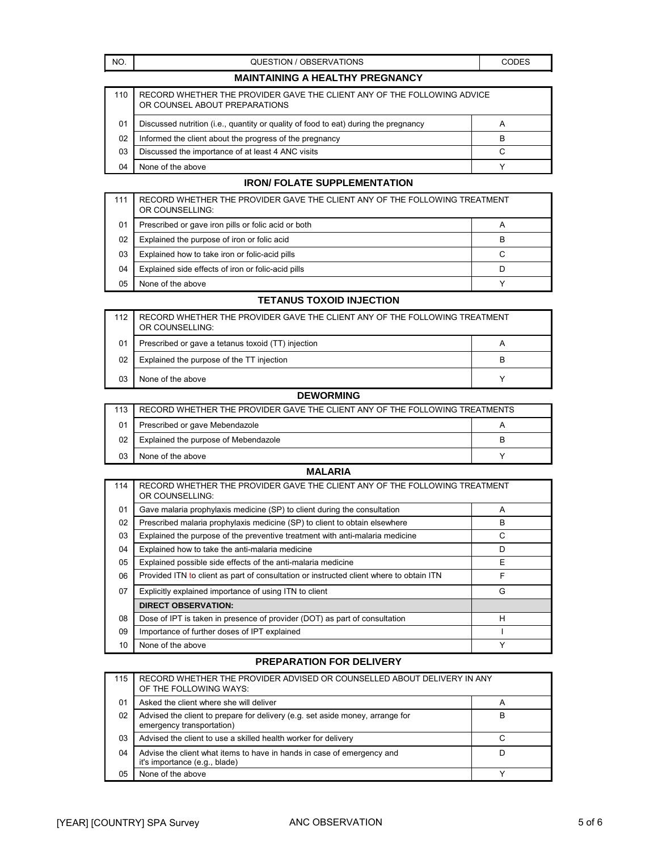#### NO. CODES QUESTION / OBSERVATIONS CODES

#### **MAINTAINING A HEALTHY PREGNANCY**

| 110 | RECORD WHETHER THE PROVIDER GAVE THE CLIENT ANY OF THE FOLLOWING ADVICE<br>OR COUNSEL ABOUT PREPARATIONS |   |
|-----|----------------------------------------------------------------------------------------------------------|---|
| 01  | Discussed nutrition (i.e., quantity or quality of food to eat) during the pregnancy<br>А                 |   |
| 02  | Informed the client about the progress of the pregnancy                                                  | в |
| 03  | Discussed the importance of at least 4 ANC visits                                                        | С |
| 04  | None of the above                                                                                        |   |

## **IRON/ FOLATE SUPPLEMENTATION**

| 111 | RECORD WHETHER THE PROVIDER GAVE THE CLIENT ANY OF THE FOLLOWING TREATMENT<br>OR COUNSELLING: |   |  |
|-----|-----------------------------------------------------------------------------------------------|---|--|
| 01  | Prescribed or gave iron pills or folic acid or both                                           | A |  |
| 02  | Explained the purpose of iron or folic acid                                                   | в |  |
| 03  | Explained how to take iron or folic-acid pills                                                | C |  |
| 04  | Explained side effects of iron or folic-acid pills                                            |   |  |
| 05  | None of the above                                                                             |   |  |

### **TETANUS TOXOID INJECTION**

| 112 | RECORD WHETHER THE PROVIDER GAVE THE CLIENT ANY OF THE FOLLOWING TREATMENT<br>OR COUNSELLING: |   |
|-----|-----------------------------------------------------------------------------------------------|---|
| 01  | Prescribed or gave a tetanus toxoid (TT) injection                                            | A |
| 02  | Explained the purpose of the TT injection                                                     | в |
| 03  | None of the above                                                                             |   |

## **DEWORMING**

| 113 | RECORD WHETHER THE PROVIDER GAVE THE CLIENT ANY OF THE FOLLOWING TREATMENTS |   |  |
|-----|-----------------------------------------------------------------------------|---|--|
| 01  | Prescribed or gave Mebendazole                                              |   |  |
| 02  | Explained the purpose of Mebendazole                                        | в |  |
| 03  | None of the above                                                           |   |  |

#### **MALARIA**

| 114 | RECORD WHETHER THE PROVIDER GAVE THE CLIENT ANY OF THE FOLLOWING TREATMENT<br>OR COUNSELLING: |   |
|-----|-----------------------------------------------------------------------------------------------|---|
| 01  | Gave malaria prophylaxis medicine (SP) to client during the consultation<br>A                 |   |
| 02  | Prescribed malaria prophylaxis medicine (SP) to client to obtain elsewhere<br>B               |   |
| 03  | Explained the purpose of the preventive treatment with anti-malaria medicine<br>C             |   |
| 04  | Explained how to take the anti-malaria medicine<br>D                                          |   |
| 05  | Explained possible side effects of the anti-malaria medicine<br>Ε                             |   |
| 06  | F<br>Provided ITN to client as part of consultation or instructed client where to obtain ITN  |   |
| 07  | Explicitly explained importance of using ITN to client<br>G                                   |   |
|     | <b>DIRECT OBSERVATION:</b>                                                                    |   |
| 08  | Dose of IPT is taken in presence of provider (DOT) as part of consultation                    | H |
| 09  | Importance of further doses of IPT explained                                                  |   |
| 10  | None of the above                                                                             | Υ |

## **PREPARATION FOR DELIVERY**

| 115            | RECORD WHETHER THE PROVIDER ADVISED OR COUNSELLED ABOUT DELIVERY IN ANY<br>OF THE FOLLOWING WAYS:          |   |
|----------------|------------------------------------------------------------------------------------------------------------|---|
| 0 <sub>1</sub> | Asked the client where she will deliver                                                                    | А |
| 02             | Advised the client to prepare for delivery (e.g. set aside money, arrange for<br>emergency transportation) | B |
| 03             | Advised the client to use a skilled health worker for delivery                                             |   |
| 04             | Advise the client what items to have in hands in case of emergency and<br>it's importance (e.g., blade)    | D |
| 05             | None of the above                                                                                          |   |